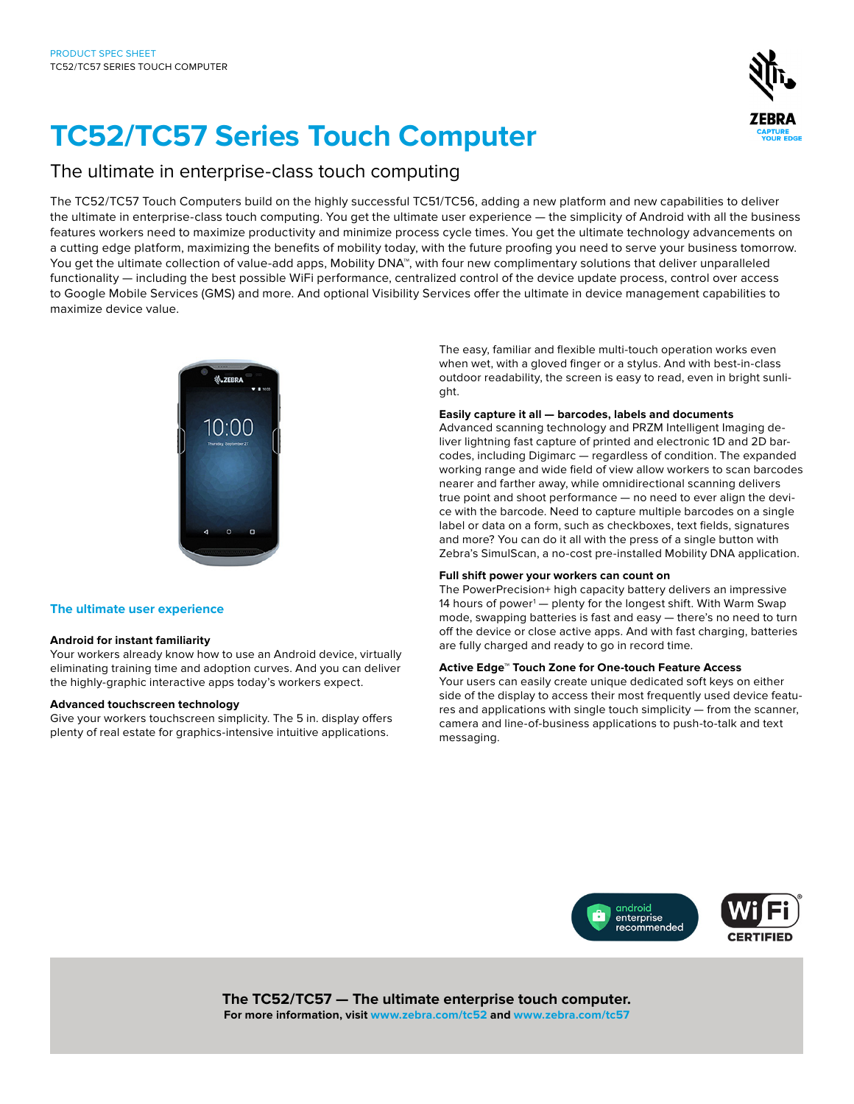# **TC52/TC57 Series Touch Computer**

## The ultimate in enterprise-class touch computing

The TC52/TC57 Touch Computers build on the highly successful TC51/TC56, adding a new platform and new capabilities to deliver the ultimate in enterprise-class touch computing. You get the ultimate user experience — the simplicity of Android with all the business features workers need to maximize productivity and minimize process cycle times. You get the ultimate technology advancements on a cutting edge platform, maximizing the benefits of mobility today, with the future proofing you need to serve your business tomorrow. You get the ultimate collection of value-add apps, Mobility DNA™, with four new complimentary solutions that deliver unparalleled functionality — including the best possible WiFi performance, centralized control of the device update process, control over access to Google Mobile Services (GMS) and more. And optional Visibility Services offer the ultimate in device management capabilities to maximize device value.



## **The ultimate user experience**

## **Android for instant familiarity**

Your workers already know how to use an Android device, virtually eliminating training time and adoption curves. And you can deliver the highly-graphic interactive apps today's workers expect.

#### **Advanced touchscreen technology**

Give your workers touchscreen simplicity. The 5 in. display offers plenty of real estate for graphics-intensive intuitive applications.

The easy, familiar and flexible multi-touch operation works even when wet, with a gloved finger or a stylus. And with best-in-class outdoor readability, the screen is easy to read, even in bright sunlight.

## **Easily capture it all — barcodes, labels and documents**

Advanced scanning technology and PRZM Intelligent Imaging deliver lightning fast capture of printed and electronic 1D and 2D barcodes, including Digimarc — regardless of condition. The expanded working range and wide field of view allow workers to scan barcodes nearer and farther away, while omnidirectional scanning delivers true point and shoot performance — no need to ever align the device with the barcode. Need to capture multiple barcodes on a single label or data on a form, such as checkboxes, text fields, signatures and more? You can do it all with the press of a single button with Zebra's SimulScan, a no-cost pre-installed Mobility DNA application.

#### **Full shift power your workers can count on**

The PowerPrecision+ high capacity battery delivers an impressive 14 hours of power<sup>1</sup> — plenty for the longest shift. With Warm Swap mode, swapping batteries is fast and easy — there's no need to turn off the device or close active apps. And with fast charging, batteries are fully charged and ready to go in record time.

#### **Active Edge™ Touch Zone for One-touch Feature Access**

Your users can easily create unique dedicated soft keys on either side of the display to access their most frequently used device features and applications with single touch simplicity — from the scanner, camera and line-of-business applications to push-to-talk and text messaging.



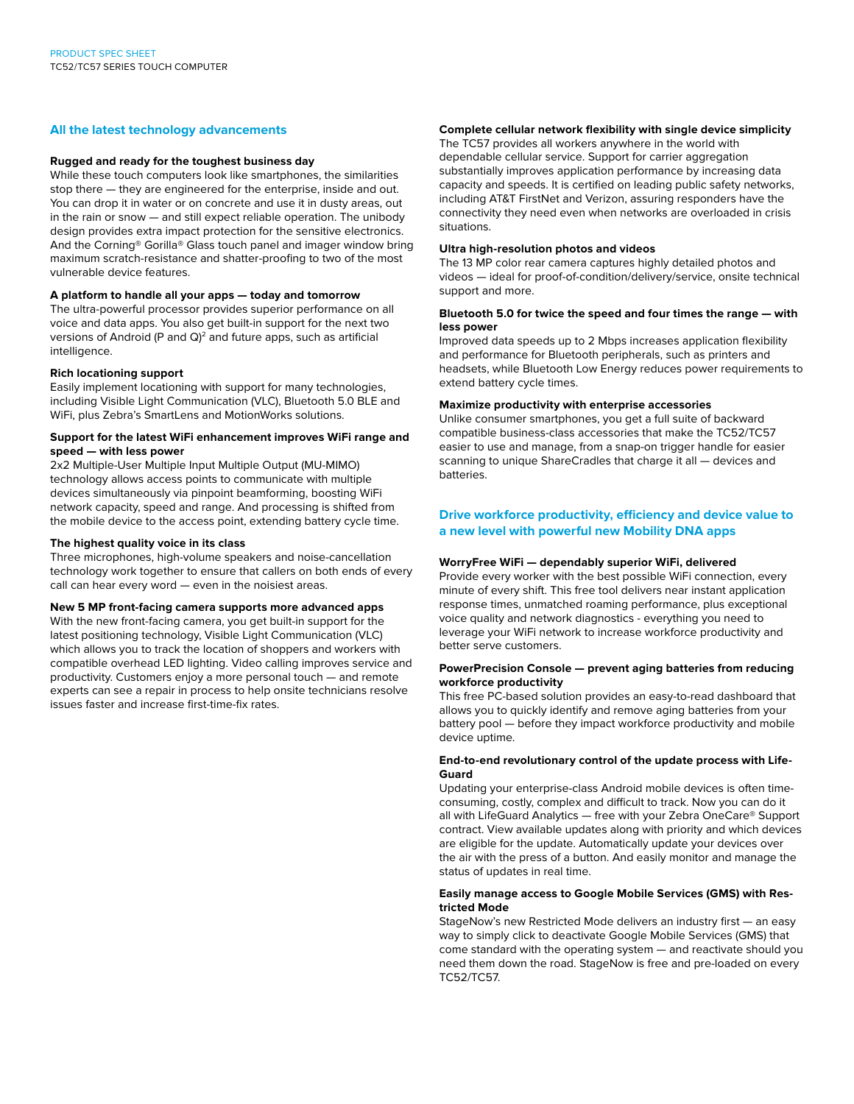## **All the latest technology advancements**

#### **Rugged and ready for the toughest business day**

While these touch computers look like smartphones, the similarities stop there — they are engineered for the enterprise, inside and out. You can drop it in water or on concrete and use it in dusty areas, out in the rain or snow — and still expect reliable operation. The unibody design provides extra impact protection for the sensitive electronics. And the Corning® Gorilla® Glass touch panel and imager window bring maximum scratch-resistance and shatter-proofing to two of the most vulnerable device features.

#### **A platform to handle all your apps — today and tomorrow**

The ultra-powerful processor provides superior performance on all voice and data apps. You also get built-in support for the next two versions of Android (P and Q)<sup>2</sup> and future apps, such as artificial intelligence.

#### **Rich locationing support**

Easily implement locationing with support for many technologies, including Visible Light Communication (VLC), Bluetooth 5.0 BLE and WiFi, plus Zebra's SmartLens and MotionWorks solutions.

#### **Support for the latest WiFi enhancement improves WiFi range and speed — with less power**

2x2 Multiple-User Multiple Input Multiple Output (MU-MIMO) technology allows access points to communicate with multiple devices simultaneously via pinpoint beamforming, boosting WiFi network capacity, speed and range. And processing is shifted from the mobile device to the access point, extending battery cycle time.

#### **The highest quality voice in its class**

Three microphones, high-volume speakers and noise-cancellation technology work together to ensure that callers on both ends of every call can hear every word — even in the noisiest areas.

## **New 5 MP front-facing camera supports more advanced apps**

With the new front-facing camera, you get built-in support for the latest positioning technology, Visible Light Communication (VLC) which allows you to track the location of shoppers and workers with compatible overhead LED lighting. Video calling improves service and productivity. Customers enjoy a more personal touch — and remote experts can see a repair in process to help onsite technicians resolve issues faster and increase first-time-fix rates.

## **Complete cellular network flexibility with single device simplicity**

The TC57 provides all workers anywhere in the world with dependable cellular service. Support for carrier aggregation substantially improves application performance by increasing data capacity and speeds. It is certified on leading public safety networks, including AT&T FirstNet and Verizon, assuring responders have the connectivity they need even when networks are overloaded in crisis situations.

#### **Ultra high-resolution photos and videos**

The 13 MP color rear camera captures highly detailed photos and videos — ideal for proof-of-condition/delivery/service, onsite technical support and more.

## **Bluetooth 5.0 for twice the speed and four times the range — with less power**

Improved data speeds up to 2 Mbps increases application flexibility and performance for Bluetooth peripherals, such as printers and headsets, while Bluetooth Low Energy reduces power requirements to extend battery cycle times.

## **Maximize productivity with enterprise accessories**

Unlike consumer smartphones, you get a full suite of backward compatible business-class accessories that make the TC52/TC57 easier to use and manage, from a snap-on trigger handle for easier scanning to unique ShareCradles that charge it all — devices and batteries.

## **Drive workforce productivity, efficiency and device value to a new level with powerful new Mobility DNA apps**

## **WorryFree WiFi — dependably superior WiFi, delivered**

Provide every worker with the best possible WiFi connection, every minute of every shift. This free tool delivers near instant application response times, unmatched roaming performance, plus exceptional voice quality and network diagnostics - everything you need to leverage your WiFi network to increase workforce productivity and better serve customers.

#### **PowerPrecision Console — prevent aging batteries from reducing workforce productivity**

This free PC-based solution provides an easy-to-read dashboard that allows you to quickly identify and remove aging batteries from your battery pool — before they impact workforce productivity and mobile device uptime.

#### **End-to-end revolutionary control of the update process with Life-Guard**

Updating your enterprise-class Android mobile devices is often timeconsuming, costly, complex and difficult to track. Now you can do it all with LifeGuard Analytics — free with your Zebra OneCare® Support contract. View available updates along with priority and which devices are eligible for the update. Automatically update your devices over the air with the press of a button. And easily monitor and manage the status of updates in real time.

#### **Easily manage access to Google Mobile Services (GMS) with Restricted Mode**

StageNow's new Restricted Mode delivers an industry first — an easy way to simply click to deactivate Google Mobile Services (GMS) that come standard with the operating system — and reactivate should you need them down the road. StageNow is free and pre-loaded on every TC52/TC57.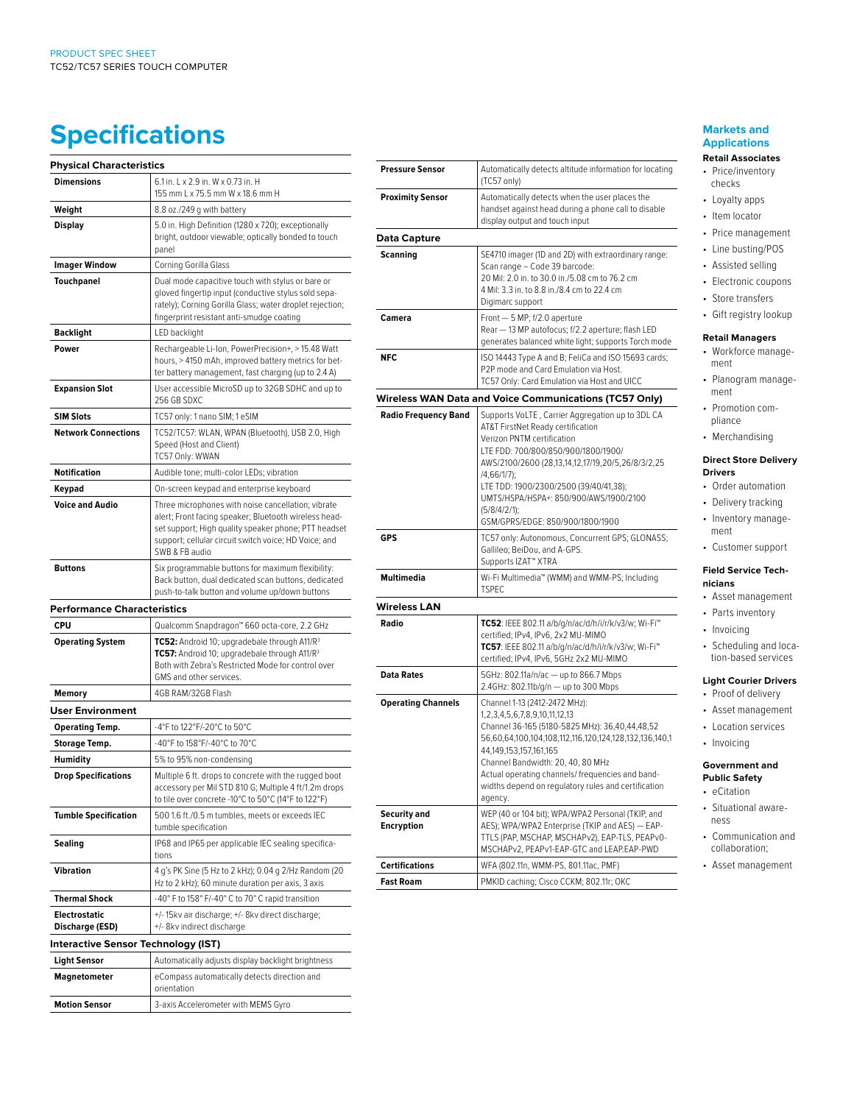## **Specifications**

| <b>Physical Characteristics</b>            |                                                                                                                                                                                                                                                |
|--------------------------------------------|------------------------------------------------------------------------------------------------------------------------------------------------------------------------------------------------------------------------------------------------|
| <b>Dimensions</b>                          | 6.1 in. L x 2.9 in. W x 0.73 in. H                                                                                                                                                                                                             |
|                                            | 155 mm L x 75.5 mm W x 18.6 mm H                                                                                                                                                                                                               |
| Weight                                     | 8.8 oz./249 g with battery                                                                                                                                                                                                                     |
| <b>Display</b>                             | 5.0 in. High Definition (1280 x 720); exceptionally<br>bright, outdoor viewable; optically bonded to touch<br>panel                                                                                                                            |
| <b>Imager Window</b>                       | Corning Gorilla Glass                                                                                                                                                                                                                          |
| <b>Touchpanel</b>                          | Dual mode capacitive touch with stylus or bare or<br>gloved fingertip input (conductive stylus sold sepa-<br>rately); Corning Gorilla Glass; water droplet rejection;<br>fingerprint resistant anti-smudge coating                             |
| Backlight                                  | LED backlight                                                                                                                                                                                                                                  |
| Power                                      | Rechargeable Li-Ion, PowerPrecision+, > 15.48 Watt<br>hours, > 4150 mAh, improved battery metrics for bet-<br>ter battery management, fast charging (up to 2.4 A)                                                                              |
| <b>Expansion Slot</b>                      | User accessible MicroSD up to 32GB SDHC and up to<br>256 GB SDXC                                                                                                                                                                               |
| SIM Slots                                  | TC57 only: 1 nano SIM; 1 eSIM                                                                                                                                                                                                                  |
| <b>Network Connections</b>                 | TC52/TC57: WLAN, WPAN (Bluetooth), USB 2.0, High<br>Speed (Host and Client)<br>TC57 Only: WWAN                                                                                                                                                 |
| <b>Notification</b>                        | Audible tone; multi-color LEDs; vibration                                                                                                                                                                                                      |
| Keypad                                     | On-screen keypad and enterprise keyboard                                                                                                                                                                                                       |
| <b>Voice and Audio</b>                     | Three microphones with noise cancellation; vibrate<br>alert; Front facing speaker; Bluetooth wireless head-<br>set support; High quality speaker phone; PTT headset<br>support; cellular circuit switch voice; HD Voice; and<br>SWB & FB audio |
| <b>Buttons</b>                             | Six programmable buttons for maximum flexibility:<br>Back button, dual dedicated scan buttons, dedicated<br>push-to-talk button and volume up/down buttons                                                                                     |
| <b>Performance Characteristics</b>         |                                                                                                                                                                                                                                                |
| <b>CPU</b>                                 | Qualcomm Snapdragon™ 660 octa-core, 2.2 GHz                                                                                                                                                                                                    |
| <b>Operating System</b>                    | TC52: Android 10; upgradebale through A11/R <sup>3</sup><br>TC57: Android 10; upgradebale through A11/R <sup>3</sup><br>Both with Zebra's Restricted Mode for control over<br>GMS and other services.                                          |
| Memory                                     | 4GB RAM/32GB Flash                                                                                                                                                                                                                             |
| <b>User Environment</b>                    |                                                                                                                                                                                                                                                |
| <b>Operating Temp.</b>                     | -4°F to 122°F/-20°C to 50°C                                                                                                                                                                                                                    |
| <b>Storage Temp.</b>                       | -40°F to 158°F/-40°C to 70°C                                                                                                                                                                                                                   |
| <b>Humidity</b>                            | 5% to 95% non-condensing                                                                                                                                                                                                                       |
| <b>Drop Specifications</b>                 | Multiple 6 ft. drops to concrete with the rugged boot<br>accessory per Mil STD 810 G; Multiple 4 ft/1.2m drops<br>to tile over concrete -10°C to 50°C (14°F to 122°F)                                                                          |
| <b>Tumble Specification</b>                | 500 1.6 ft./0.5 m tumbles, meets or exceeds IEC<br>tumble specification                                                                                                                                                                        |
| Sealing                                    | IP68 and IP65 per applicable IEC sealing specifica-<br>tions                                                                                                                                                                                   |
| <b>Vibration</b>                           | 4 g's PK Sine (5 Hz to 2 kHz); 0.04 g 2/Hz Random (20<br>Hz to 2 kHz); 60 minute duration per axis, 3 axis                                                                                                                                     |
| <b>Thermal Shock</b>                       | -40° F to 158° F/-40° C to 70° C rapid transition                                                                                                                                                                                              |
| <b>Electrostatic</b><br>Discharge (ESD)    | +/-15kv air discharge; +/-8kv direct discharge;<br>+/- 8kv indirect discharge                                                                                                                                                                  |
| <b>Interactive Sensor Technology (IST)</b> |                                                                                                                                                                                                                                                |
| Light Sensor                               | Automatically adjusts display backlight brightness                                                                                                                                                                                             |
| Magnetometer                               | eCompass automatically detects direction and<br>orientation                                                                                                                                                                                    |

**Motion Sensor** 3-axis Accelerometer with MEMS Gyro

| <b>Pressure Sensor</b>                   | Automatically detects altitude information for locating<br>(TC57 only)                                                                                                                                                                                                                                                                                                          |
|------------------------------------------|---------------------------------------------------------------------------------------------------------------------------------------------------------------------------------------------------------------------------------------------------------------------------------------------------------------------------------------------------------------------------------|
| <b>Proximity Sensor</b>                  | Automatically detects when the user places the<br>handset against head during a phone call to disable<br>display output and touch input                                                                                                                                                                                                                                         |
| Data Capture                             |                                                                                                                                                                                                                                                                                                                                                                                 |
| Scanning                                 | SE4710 imager (1D and 2D) with extraordinary range:<br>Scan range - Code 39 barcode:<br>20 Mil: 2.0 in. to 30.0 in./5.08 cm to 76.2 cm<br>4 Mil: 3.3 in. to 8.8 in./8.4 cm to 22.4 cm<br>Digimarc support                                                                                                                                                                       |
| Camera                                   | Front - 5 MP; f/2.0 aperture<br>Rear - 13 MP autofocus; f/2.2 aperture; flash LED<br>generates balanced white light; supports Torch mode                                                                                                                                                                                                                                        |
| <b>NFC</b>                               | ISO 14443 Type A and B; FeliCa and ISO 15693 cards;<br>P2P mode and Card Emulation via Host.<br>TC57 Only: Card Emulation via Host and UICC                                                                                                                                                                                                                                     |
|                                          | <b>Wireless WAN Data and Voice Communications (TC57 Only)</b>                                                                                                                                                                                                                                                                                                                   |
| <b>Radio Frequency Band</b>              | Supports VoLTE, Carrier Aggregation up to 3DL CA<br>AT&T FirstNet Ready certification<br>Verizon PNTM certification<br>LTE FDD: 700/800/850/900/1800/1900/<br>AWS/2100/2600 (28,13,14,12,17/19,20/5,26/8/3/2,25<br>$/4,66/1/7$ :<br>LTE TDD: 1900/2300/2500 (39/40/41,38);<br>UMTS/HSPA/HSPA+: 850/900/AWS/1900/2100<br>(5/8/4/2/1);<br>GSM/GPRS/EDGE: 850/900/1800/1900        |
| GPS                                      | TC57 only: Autonomous, Concurrent GPS; GLONASS;<br>Gallileo; BeiDou, and A-GPS.<br>Supports IZAT™ XTRA                                                                                                                                                                                                                                                                          |
| <b>Multimedia</b>                        | Wi-Fi Multimedia <sup>™</sup> (WMM) and WMM-PS; Including<br><b>TSPEC</b>                                                                                                                                                                                                                                                                                                       |
| <b>Wireless LAN</b>                      |                                                                                                                                                                                                                                                                                                                                                                                 |
| Radio                                    | TC52: IEEE 802.11 a/b/g/n/ac/d/h/i/r/k/v3/w; Wi-Fi™<br>certified; IPv4, IPv6, 2x2 MU-MIMO<br>TC57: IEEE 802.11 a/b/g/n/ac/d/h/i/r/k/v3/w; Wi-Fi™<br>certified; IPv4, IPv6, 5GHz 2x2 MU-MIMO                                                                                                                                                                                     |
| <b>Data Rates</b>                        | 5GHz: 802.11a/n/ac - up to 866.7 Mbps<br>2.4GHz: 802.11b/g/n - up to 300 Mbps                                                                                                                                                                                                                                                                                                   |
| <b>Operating Channels</b>                | Channel 1-13 (2412-2472 MHz):<br>1, 2, 3, 4, 5, 6, 7, 8, 9, 10, 11, 12, 13<br>Channel 36-165 (5180-5825 MHz): 36,40,44,48,52<br>56,60,64,100,104,108,112,116,120,124,128,132,136,140,1<br>44, 149, 153, 157, 161, 165<br>Channel Bandwidth: 20, 40, 80 MHz<br>Actual operating channels/frequencies and band-<br>widths depend on regulatory rules and certification<br>agency. |
| <b>Security and</b><br><b>Encryption</b> | WEP (40 or 104 bit); WPA/WPA2 Personal (TKIP, and<br>AES); WPA/WPA2 Enterprise (TKIP and AES) - EAP-<br>TTLS (PAP, MSCHAP, MSCHAPv2), EAP-TLS, PEAPv0-<br>MSCHAPv2, PEAPv1-EAP-GTC and LEAP.EAP-PWD                                                                                                                                                                             |
| Certifications                           | WFA (802.11n, WMM-PS, 801.11ac, PMF)                                                                                                                                                                                                                                                                                                                                            |
| <b>Fast Roam</b>                         | PMKID caching; Cisco CCKM; 802.11r; OKC                                                                                                                                                                                                                                                                                                                                         |

## **Markets and Applications**

- **Retail Associates** • Price/inventory checks
- Loyalty apps
- Item locator
- Price management
- Line busting/POS
- Assisted selling
- Electronic coupons
- Store transfers
- Gift registry lookup

## **Retail Managers**

- Workforce management
- Planogram management
- Promotion compliance
- **Merchandising**

## **Direct Store Delivery Drivers**

- Order automation
- Delivery tracking
- Inventory management
- Customer support

## **Field Service Technicians**

- Asset management
- Parts inventory **Invoicing**
- Scheduling and location-based services

## **Light Courier Drivers**

- Proof of delivery
- Asset management
- Location services
- **Invoicing**

#### **Government and Public Safety**

- eCitation
- Situational awareness
- Communication and collaboration;
- Asset management